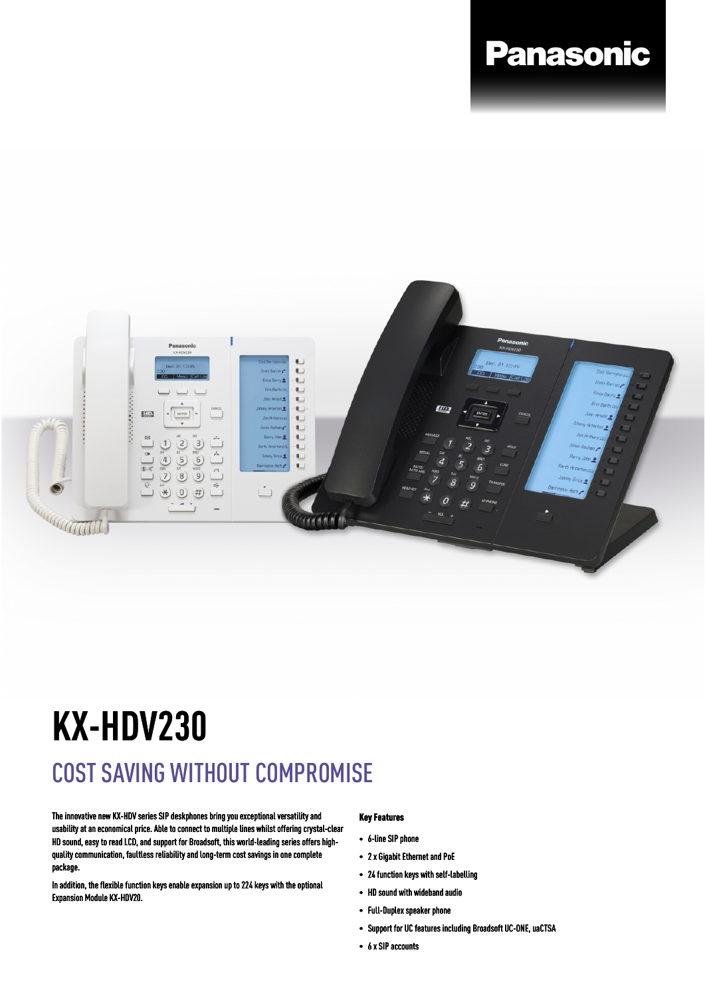## **Panasonic**



# **KX-HDV230**

### COST SAVING WITHOUT COMPROMISE

The innovative new KX-HDV series SIP deskphones bring you exceptional versatility and usability at an economical price. Able to connect to multiple lines whilst offering crystal-clear HD sound, easy to read LCD, and support for Broadsoft, this world-leading series offers highquality communication, faultless reliability and long-term cost savings in one complete package.

In addition, the flexible function keys enable expansion up to 224 keys with the optional Expansion Module KX-HDV20.

#### **Key Features**

- 6-line SIP phone
- 2 x Gigabit Ethernet and PoE
- 24 function keys with self-labelling
- HD sound with wideband audio
- Full-Duplex speaker phone
- Support for UC features including Broadsoft UC-ONE, uaCTSA
- 6 x SIP accounts